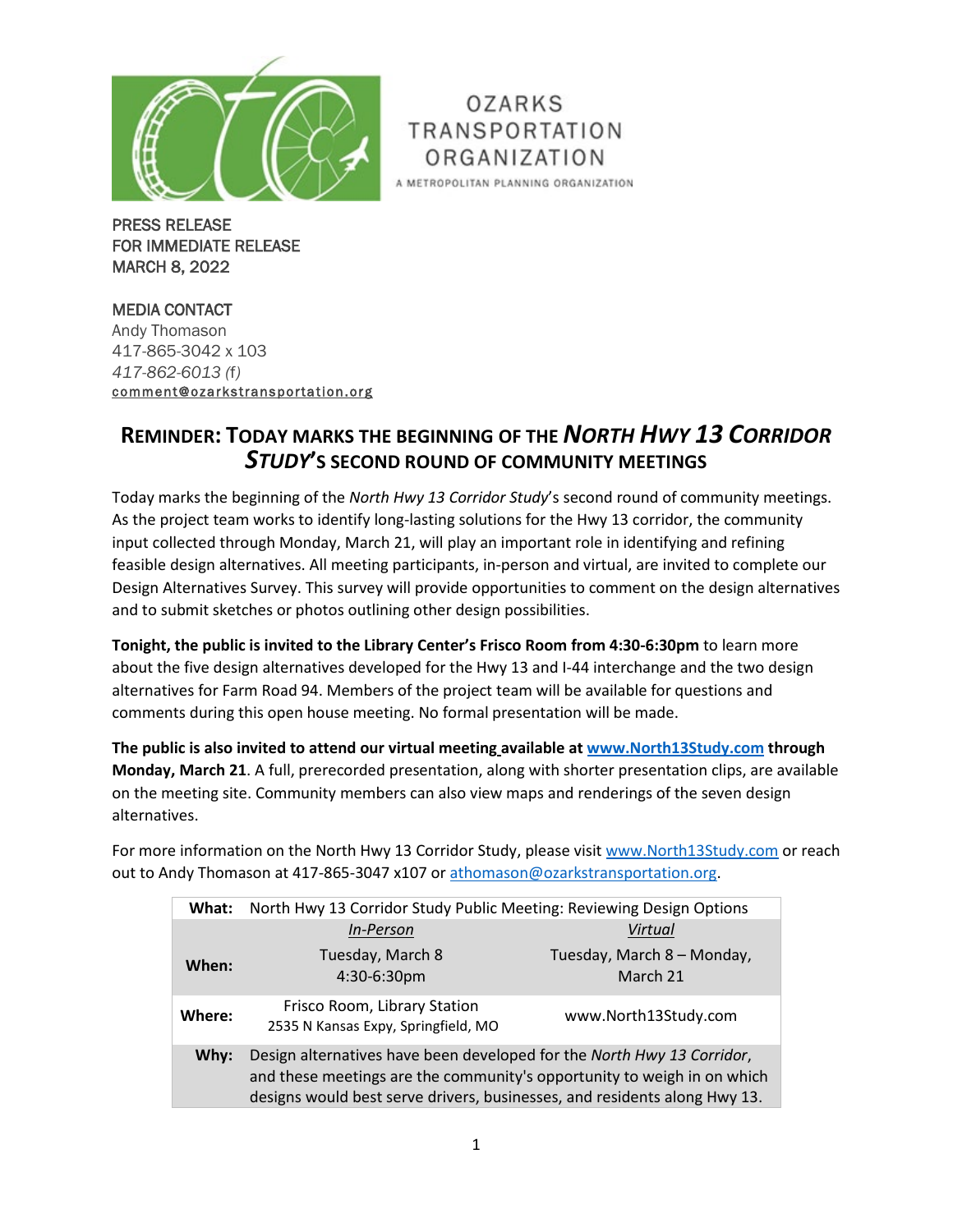

OZARKS **TRANSPORTATION** ORGANIZATION A METROPOLITAN PLANNING ORGANIZATION

PRESS RELEASE FOR IMMEDIATE RELEASE MARCH 8, 2022

MEDIA CONTACT Andy Thomason 417-865-3042 x 103 *417-862-6013 (*f*)* [comment@ozarkstransportation.org](mailto:comment@ozarkstransportation.org) 

## **REMINDER: TODAY MARKS THE BEGINNING OF THE** *NORTH HWY 13 CORRIDOR STUDY***'S SECOND ROUND OF COMMUNITY MEETINGS**

Today marks the beginning of the *North Hwy 13 Corridor Study*'s second round of community meetings. As the project team works to identify long-lasting solutions for the Hwy 13 corridor, the community input collected through Monday, March 21, will play an important role in identifying and refining feasible design alternatives. All meeting participants, in-person and virtual, are invited to complete our Design Alternatives Survey. This survey will provide opportunities to comment on the design alternatives and to submit sketches or photos outlining other design possibilities.

**Tonight, the public is invited to the Library Center's Frisco Room from 4:30-6:30pm** to learn more about the five design alternatives developed for the Hwy 13 and I-44 interchange and the two design alternatives for Farm Road 94. Members of the project team will be available for questions and comments during this open house meeting. No formal presentation will be made.

**The public is also invited to attend our virtual meeting available at [www.North13Study.com](http://www.north13study.com/) through Monday, March 21**. A full, prerecorded presentation, along with shorter presentation clips, are available on the meeting site. Community members can also view maps and renderings of the seven design alternatives.

For more information on the North Hwy 13 Corridor Study, please visit [www.North13Study.com](http://www.north13study.com/) or reach out to Andy Thomason at 417-865-3047 x107 or [athomason@ozarkstransportation.org.](mailto:athomason@ozarkstransportation.org)

| What:  | North Hwy 13 Corridor Study Public Meeting: Reviewing Design Options                                                                                                                                                           |                                        |
|--------|--------------------------------------------------------------------------------------------------------------------------------------------------------------------------------------------------------------------------------|----------------------------------------|
|        | <b>In-Person</b>                                                                                                                                                                                                               | Virtual                                |
| When:  | Tuesday, March 8<br>4:30-6:30pm                                                                                                                                                                                                | Tuesday, March 8 - Monday,<br>March 21 |
| Where: | Frisco Room, Library Station<br>2535 N Kansas Expy, Springfield, MO                                                                                                                                                            | www.North13Study.com                   |
| Why:   | Design alternatives have been developed for the North Hwy 13 Corridor,<br>and these meetings are the community's opportunity to weigh in on which<br>designs would best serve drivers, businesses, and residents along Hwy 13. |                                        |